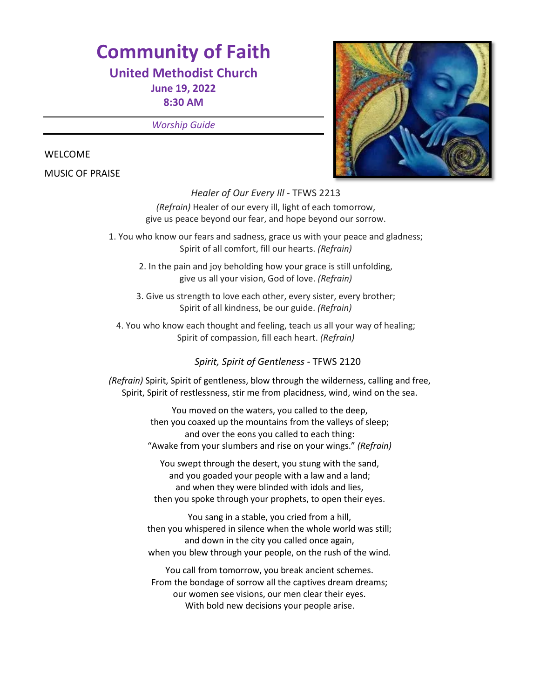# **Community of Faith**

# **United Methodist Church**

**June 19, 2022 8:30 AM** 

*Worship Guide*

#### WELCOME

MUSIC OF PRAISE



*Healer of Our Every Ill* - TFWS 2213 *(Refrain)* Healer of our every ill, light of each tomorrow, give us peace beyond our fear, and hope beyond our sorrow.

1. You who know our fears and sadness, grace us with your peace and gladness; Spirit of all comfort, fill our hearts. *(Refrain)*

- 2. In the pain and joy beholding how your grace is still unfolding, give us all your vision, God of love. *(Refrain)*
- 3. Give us strength to love each other, every sister, every brother; Spirit of all kindness, be our guide. *(Refrain)*
- 4. You who know each thought and feeling, teach us all your way of healing; Spirit of compassion, fill each heart. *(Refrain)*

*Spirit, Spirit of Gentleness -* TFWS 2120

*(Refrain)* Spirit, Spirit of gentleness, blow through the wilderness, calling and free, Spirit, Spirit of restlessness, stir me from placidness, wind, wind on the sea.

> You moved on the waters, you called to the deep, then you coaxed up the mountains from the valleys of sleep; and over the eons you called to each thing: "Awake from your slumbers and rise on your wings." *(Refrain)*

You swept through the desert, you stung with the sand, and you goaded your people with a law and a land; and when they were blinded with idols and lies, then you spoke through your prophets, to open their eyes.

You sang in a stable, you cried from a hill, then you whispered in silence when the whole world was still; and down in the city you called once again, when you blew through your people, on the rush of the wind.

You call from tomorrow, you break ancient schemes. From the bondage of sorrow all the captives dream dreams; our women see visions, our men clear their eyes. With bold new decisions your people arise.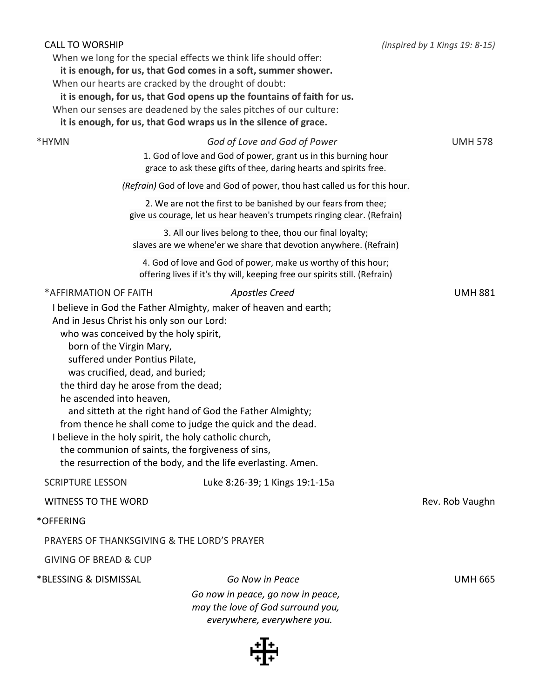| <b>CALL TO WORSHIP</b>                                                                                                                                                                                                                                                              | When we long for the special effects we think life should offer:<br>it is enough, for us, that God comes in a soft, summer shower.<br>When our hearts are cracked by the drought of doubt:<br>it is enough, for us, that God opens up the fountains of faith for us.<br>When our senses are deadened by the sales pitches of our culture:<br>it is enough, for us, that God wraps us in the silence of grace. | (inspired by 1 Kings 19: 8-15) |
|-------------------------------------------------------------------------------------------------------------------------------------------------------------------------------------------------------------------------------------------------------------------------------------|---------------------------------------------------------------------------------------------------------------------------------------------------------------------------------------------------------------------------------------------------------------------------------------------------------------------------------------------------------------------------------------------------------------|--------------------------------|
| *HYMN                                                                                                                                                                                                                                                                               | God of Love and God of Power                                                                                                                                                                                                                                                                                                                                                                                  | <b>UMH 578</b>                 |
|                                                                                                                                                                                                                                                                                     | 1. God of love and God of power, grant us in this burning hour<br>grace to ask these gifts of thee, daring hearts and spirits free.                                                                                                                                                                                                                                                                           |                                |
|                                                                                                                                                                                                                                                                                     | (Refrain) God of love and God of power, thou hast called us for this hour.                                                                                                                                                                                                                                                                                                                                    |                                |
|                                                                                                                                                                                                                                                                                     | 2. We are not the first to be banished by our fears from thee;<br>give us courage, let us hear heaven's trumpets ringing clear. (Refrain)                                                                                                                                                                                                                                                                     |                                |
|                                                                                                                                                                                                                                                                                     | 3. All our lives belong to thee, thou our final loyalty;<br>slaves are we whene'er we share that devotion anywhere. (Refrain)                                                                                                                                                                                                                                                                                 |                                |
|                                                                                                                                                                                                                                                                                     | 4. God of love and God of power, make us worthy of this hour;<br>offering lives if it's thy will, keeping free our spirits still. (Refrain)                                                                                                                                                                                                                                                                   |                                |
| *AFFIRMATION OF FAITH<br>And in Jesus Christ his only son our Lord:<br>who was conceived by the holy spirit,<br>born of the Virgin Mary,<br>suffered under Pontius Pilate,<br>was crucified, dead, and buried;<br>the third day he arose from the dead;<br>he ascended into heaven, | <b>Apostles Creed</b><br>I believe in God the Father Almighty, maker of heaven and earth;<br>and sitteth at the right hand of God the Father Almighty;<br>from thence he shall come to judge the quick and the dead.<br>I believe in the holy spirit, the holy catholic church,<br>the communion of saints, the forgiveness of sins,<br>the resurrection of the body, and the life everlasting. Amen.         | <b>UMH 881</b>                 |
| <b>SCRIPTURE LESSON</b>                                                                                                                                                                                                                                                             | Luke 8:26-39; 1 Kings 19:1-15a                                                                                                                                                                                                                                                                                                                                                                                |                                |
| <b>WITNESS TO THE WORD</b>                                                                                                                                                                                                                                                          |                                                                                                                                                                                                                                                                                                                                                                                                               | Rev. Rob Vaughn                |
| *OFFERING                                                                                                                                                                                                                                                                           |                                                                                                                                                                                                                                                                                                                                                                                                               |                                |
|                                                                                                                                                                                                                                                                                     | PRAYERS OF THANKSGIVING & THE LORD'S PRAYER                                                                                                                                                                                                                                                                                                                                                                   |                                |
| <b>GIVING OF BREAD &amp; CUP</b>                                                                                                                                                                                                                                                    |                                                                                                                                                                                                                                                                                                                                                                                                               |                                |
| *BLESSING & DISMISSAL                                                                                                                                                                                                                                                               | Go Now in Peace                                                                                                                                                                                                                                                                                                                                                                                               | <b>UMH 665</b>                 |
|                                                                                                                                                                                                                                                                                     | Go now in peace, go now in peace,<br>may the love of God surround you,<br>everywhere, everywhere you.                                                                                                                                                                                                                                                                                                         |                                |
|                                                                                                                                                                                                                                                                                     |                                                                                                                                                                                                                                                                                                                                                                                                               |                                |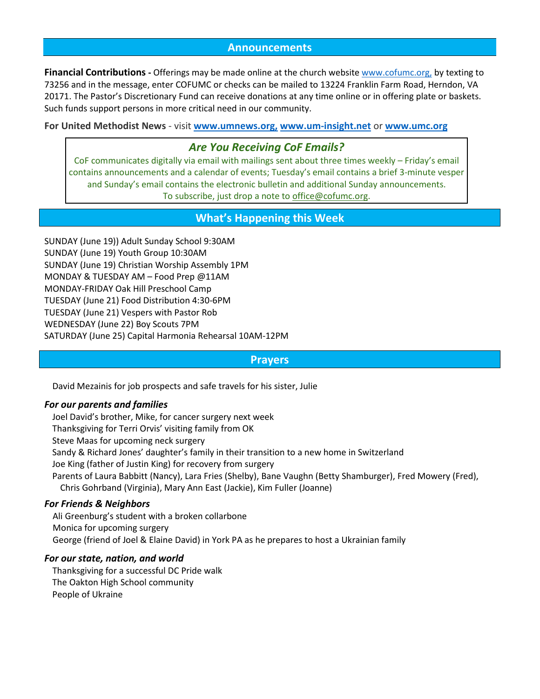#### **Announcements**

**Financial Contributions -** Offerings may be made online at the church website [www.cofumc.org,](http://www.cofumc.org/) by texting to 73256 and in the message, enter COFUMC or checks can be mailed to 13224 Franklin Farm Road, Herndon, VA 20171. The Pastor's Discretionary Fund can receive donations at any time online or in offering plate or baskets. Such funds support persons in more critical need in our community.

**For United Methodist News** - visit **www.umnews.org, [www.um-insight.net](http://www.umnews.org/)** or **[www.umc.org](http://www.umc.org/)**

## *Are You Receiving CoF Emails?*

CoF communicates digitally via email with mailings sent about three times weekly – Friday's email contains announcements and a calendar of events; Tuesday's email contains a brief 3-minute vesper and Sunday's email contains the electronic bulletin and additional Sunday announcements. To subscribe, just drop a note to [office@cofumc.org.](mailto:office@cofumc.org)

# **What's Happening this Week**

SUNDAY (June 19)) Adult Sunday School 9:30AM SUNDAY (June 19) Youth Group 10:30AM SUNDAY (June 19) Christian Worship Assembly 1PM MONDAY & TUESDAY AM – Food Prep @11AM MONDAY-FRIDAY Oak Hill Preschool Camp TUESDAY (June 21) Food Distribution 4:30-6PM TUESDAY (June 21) Vespers with Pastor Rob WEDNESDAY (June 22) Boy Scouts 7PM SATURDAY (June 25) Capital Harmonia Rehearsal 10AM-12PM

#### **Prayers**

David Mezainis for job prospects and safe travels for his sister, Julie

#### *For our parents and families*

Joel David's brother, Mike, for cancer surgery next week Thanksgiving for Terri Orvis' visiting family from OK Steve Maas for upcoming neck surgery Sandy & Richard Jones' daughter's family in their transition to a new home in Switzerland Joe King (father of Justin King) for recovery from surgery Parents of Laura Babbitt (Nancy), Lara Fries (Shelby), Bane Vaughn (Betty Shamburger), Fred Mowery (Fred), Chris Gohrband (Virginia), Mary Ann East (Jackie), Kim Fuller (Joanne)

#### *For Friends & Neighbors*

Ali Greenburg's student with a broken collarbone Monica for upcoming surgery George (friend of Joel & Elaine David) in York PA as he prepares to host a Ukrainian family

#### *For our state, nation, and world*

Thanksgiving for a successful DC Pride walk The Oakton High School community People of Ukraine